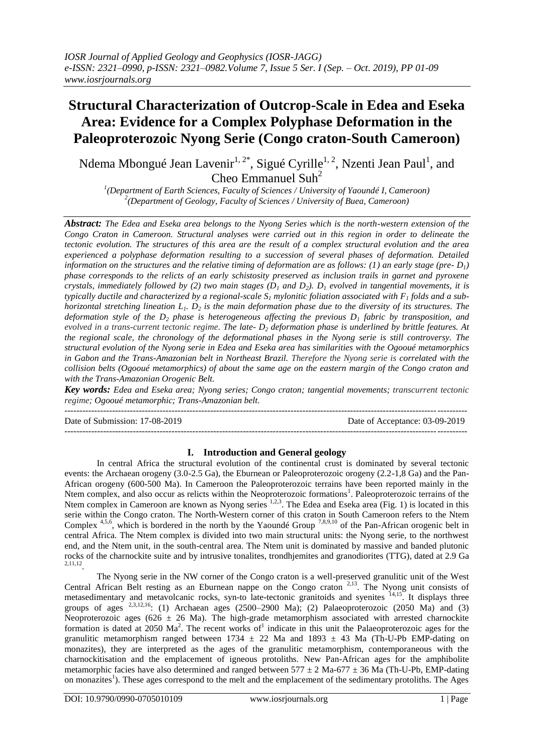# **Structural Characterization of Outcrop-Scale in Edea and Eseka Area: Evidence for a Complex Polyphase Deformation in the Paleoproterozoic Nyong Serie (Congo craton-South Cameroon)**

Ndema Mbongué Jean Lavenir<sup>1, 2\*</sup>, Sigué Cyrille<sup>1, 2</sup>, Nzenti Jean Paul<sup>1</sup>, and Cheo Emmanuel Suh<sup>2</sup>

*1 (Department of Earth Sciences, Faculty of Sciences / University of Yaoundé I, Cameroon) 2 (Department of Geology, Faculty of Sciences / University of Buea, Cameroon)*

*Abstract: The Edea and Eseka area belongs to the Nyong Series which is the north-western extension of the Congo Craton in Cameroon. Structural analyses were carried out in this region in order to delineate the tectonic evolution. The structures of this area are the result of a complex structural evolution and the area experienced a polyphase deformation resulting to a succession of several phases of deformation. Detailed information on the structures and the relative timing of deformation are as follows: (1) an early stage (pre-* $D_l$ *) phase corresponds to the relicts of an early schistosity preserved as inclusion trails in garnet and pyroxene crystals, immediately followed by (2) two main stages (* $D_1$  *and*  $D_2$ *).*  $D_1$  *evolved in tangential movements, it is typically ductile and characterized by a regional-scale*  $S_1$  *mylonitic foliation associated with*  $F_1$  *folds and a subhorizontal stretching lineation L1. D<sup>2</sup> is the main deformation phase due to the diversity of its structures. The deformation style of the D<sup>2</sup> phase is heterogeneous affecting the previous D<sup>1</sup> fabric by transposition, and evolved in a trans-current tectonic regime. The late- D<sup>2</sup> deformation phase is underlined by brittle features. At the regional scale, the chronology of the deformational phases in the Nyong serie is still controversy. The structural evolution of the Nyong serie in Edea and Eseka area has similarities with the Ogooué metamorphics in Gabon and the Trans-Amazonian belt in Northeast Brazil. Therefore the Nyong serie is correlated with the collision belts (Ogooué metamorphics) of about the same age on the eastern margin of the Congo craton and with the Trans-Amazonian Orogenic Belt.*

*Key words: Edea and Eseka area; Nyong series; Congo craton; tangential movements; transcurrent tectonic regime; Ogooué metamorphic; Trans-Amazonian belt.*

--------------------------------------------------------------------------------------------------------------------------------------- Date of Submission: 17-08-2019 Date of Acceptance: 03-09-2019 ---------------------------------------------------------------------------------------------------------------------------------------

# **I. Introduction and General geology**

In central Africa the structural evolution of the continental crust is dominated by several tectonic events: the Archaean orogeny (3.0-2.5 Ga), the Eburnean or Paleoproterozoic orogeny (2.2-1,8 Ga) and the Pan-African orogeny (600-500 Ma). In Cameroon the Paleoproterozoic terrains have been reported mainly in the Ntem complex, and also occur as relicts within the Neoproterozoic formations<sup>1</sup>. Paleoproterozoic terrains of the Ntem complex in Cameroon are known as Nyong series <sup>1,2,3</sup>. The Edea and Eseka area (Fig. 1) is located in this serie within the Congo craton. The North-Western corner of this craton in South Cameroon refers to the Ntem Complex  $4,5,6$ , which is bordered in the north by the Yaoundé Group  $7,8,9,10$  of the Pan-African orogenic belt in central Africa. The Ntem complex is divided into two main structural units: the Nyong serie, to the northwest end, and the Ntem unit, in the south-central area. The Ntem unit is dominated by massive and banded plutonic rocks of the charnockite suite and by intrusive tonalites, trondhjemites and granodiorites (TTG), dated at 2.9 Ga 2,11,12 .

The Nyong serie in the NW corner of the Congo craton is a well-preserved granulitic unit of the West Central African Belt resting as an Eburnean nappe on the Congo craton<sup>2,13</sup>. The Nyong unit consists of metasedimentary and metavolcanic rocks, syn-to late-tectonic granitoids and syenites <sup>14,15</sup>. It displays three groups of ages  $^{2,3,12,16}$ : (1) Archaean ages (2500–2900 Ma); (2) Palaeoproterozoic (2050 Ma) and (3) Neoproterozoic ages (626  $\pm$  26 Ma). The high-grade metamorphism associated with arrested charnockite formation is dated at 2050  $\text{Ma}^2$ . The recent works of<sup>1</sup> indicate in this unit the Palaeoproterozoic ages for the granulitic metamorphism ranged between  $1734 \pm 22$  Ma and  $1893 \pm 43$  Ma (Th-U-Pb EMP-dating on monazites), they are interpreted as the ages of the granulitic metamorphism, contemporaneous with the charnockitisation and the emplacement of igneous protoliths. New Pan-African ages for the amphibolite metamorphic facies have also determined and ranged between  $577 \pm 2$  Ma-677  $\pm$  36 Ma (Th-U-Pb, EMP-dating on monazites<sup>1</sup>). These ages correspond to the melt and the emplacement of the sedimentary protoliths. The Ages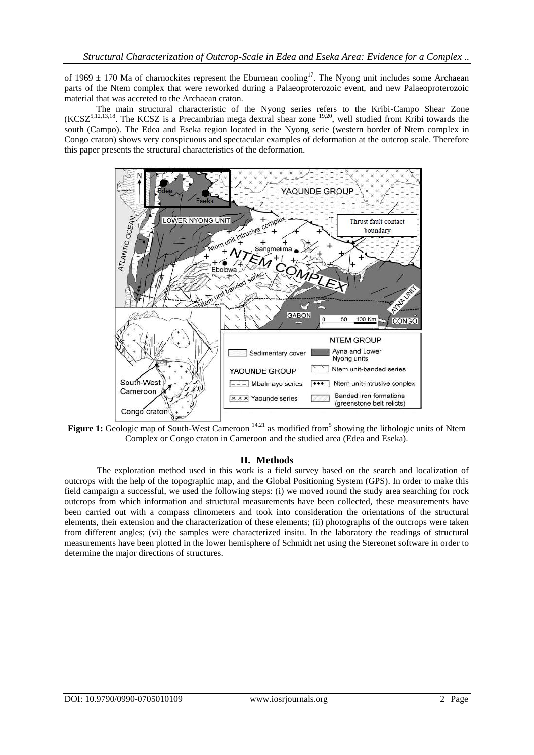of 1969  $\pm$  170 Ma of charnockites represent the Eburnean cooling<sup>17</sup>. The Nyong unit includes some Archaean parts of the Ntem complex that were reworked during a Palaeoproterozoic event, and new Palaeoproterozoic material that was accreted to the Archaean craton.

The main structural characteristic of the Nyong series refers to the Kribi-Campo Shear Zone  $(KCSZ<sup>5,12,13,18</sup>)$ . The KCSZ is a Precambrian mega dextral shear zone  $19,20$ , well studied from Kribi towards the south (Campo). The Edea and Eseka region located in the Nyong serie (western border of Ntem complex in Congo craton) shows very conspicuous and spectacular examples of deformation at the outcrop scale. Therefore this paper presents the structural characteristics of the deformation.



**Figure 1:** Geologic map of South-West Cameroon <sup>14,21</sup> as modified from<sup>5</sup> showing the lithologic units of Ntem Complex or Congo craton in Cameroon and the studied area (Edea and Eseka).

# **II. Methods**

The exploration method used in this work is a field survey based on the search and localization of outcrops with the help of the topographic map, and the Global Positioning System (GPS). In order to make this field campaign a successful, we used the following steps: (i) we moved round the study area searching for rock outcrops from which information and structural measurements have been collected, these measurements have been carried out with a compass clinometers and took into consideration the orientations of the structural elements, their extension and the characterization of these elements; (ii) photographs of the outcrops were taken from different angles; (vi) the samples were characterized insitu. In the laboratory the readings of structural measurements have been plotted in the lower hemisphere of Schmidt net using the Stereonet software in order to determine the major directions of structures.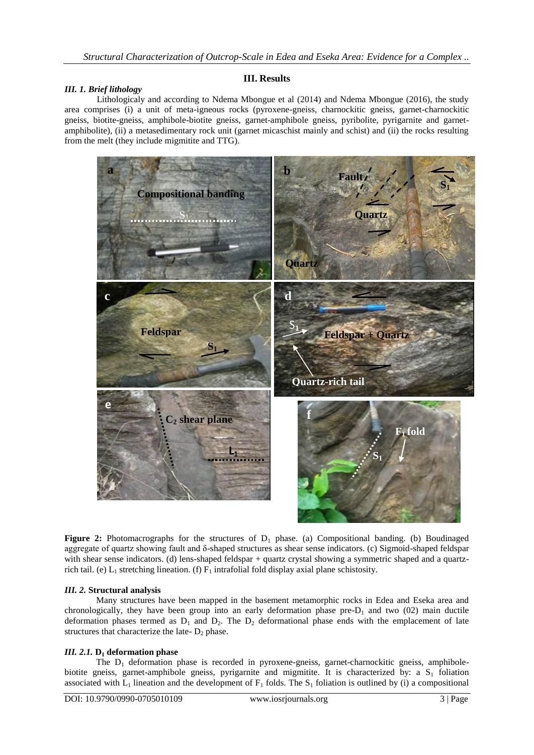# **III. Results**

## *III. 1. Brief lithology*

Lithologicaly and according to Ndema Mbongue et al (2014) and Ndema Mbongue (2016), the study area comprises (i) a unit of meta-igneous rocks (pyroxene-gneiss, charnockitic gneiss, garnet-charnockitic gneiss, biotite-gneiss, amphibole-biotite gneiss, garnet-amphibole gneiss, pyribolite, pyrigarnite and garnetamphibolite), (ii) a metasedimentary rock unit (garnet micaschist mainly and schist) and (ii) the rocks resulting from the melt (they include migmitite and TTG).



**Figure 2:** Photomacrographs for the structures of  $D_1$  phase. (a) Compositional banding. (b) Boudinaged aggregate of quartz showing fault and δ-shaped structures as shear sense indicators. (c) Sigmoid-shaped feldspar with shear sense indicators. (d) lens-shaped feldspar + quartz crystal showing a symmetric shaped and a quartzrich tail. (e)  $L_1$  stretching lineation. (f)  $F_1$  intrafolial fold display axial plane schistosity.

#### *III. 2.* **Structural analysis**

Many structures have been mapped in the basement metamorphic rocks in Edea and Eseka area and chronologically, they have been group into an early deformation phase  $pre-D<sub>1</sub>$  and two (02) main ductile deformation phases termed as  $D_1$  and  $D_2$ . The  $D_2$  deformational phase ends with the emplacement of late structures that characterize the late-  $D_2$  phase.

#### *III. 2.1.* **D<sup>1</sup> deformation phase**

The  $D_1$  deformation phase is recorded in pyroxene-gneiss, garnet-charnockitic gneiss, amphibolebiotite gneiss, garnet-amphibole gneiss, pyrigarnite and migmitite. It is characterized by: a  $S<sub>1</sub>$  foliation associated with  $L_1$  lineation and the development of  $F_1$  folds. The  $S_1$  foliation is outlined by (i) a compositional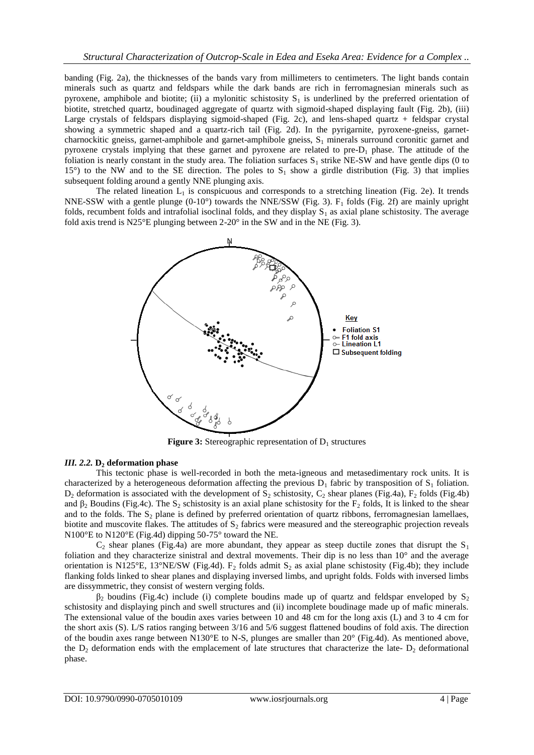banding (Fig. 2a), the thicknesses of the bands vary from millimeters to centimeters. The light bands contain minerals such as quartz and feldspars while the dark bands are rich in ferromagnesian minerals such as pyroxene, amphibole and biotite; (ii) a mylonitic schistosity  $S_1$  is underlined by the preferred orientation of biotite, stretched quartz, boudinaged aggregate of quartz with sigmoid-shaped displaying fault (Fig. 2b), (iii) Large crystals of feldspars displaying sigmoid-shaped (Fig. 2c), and lens-shaped quartz + feldspar crystal showing a symmetric shaped and a quartz-rich tail (Fig. 2d). In the pyrigarnite, pyroxene-gneiss, garnetcharnockitic gneiss, garnet-amphibole and garnet-amphibole gneiss,  $S_1$  minerals surround coronitic garnet and pyroxene crystals implying that these garnet and pyroxene are related to pre- $D_1$  phase. The attitude of the foliation is nearly constant in the study area. The foliation surfaces  $S_1$  strike NE-SW and have gentle dips (0 to 15°) to the NW and to the SE direction. The poles to  $S_1$  show a girdle distribution (Fig. 3) that implies subsequent folding around a gently NNE plunging axis.

The related lineation  $L_1$  is conspicuous and corresponds to a stretching lineation (Fig. 2e). It trends NNE-SSW with a gentle plunge  $(0-10^{\circ})$  towards the NNE/SSW (Fig. 3).  $F_1$  folds (Fig. 2f) are mainly upright folds, recumbent folds and intrafolial isoclinal folds, and they display  $S_1$  as axial plane schistosity. The average fold axis trend is N25°E plunging between 2-20° in the SW and in the NE (Fig. 3).



**Figure 3:** Stereographic representation of  $D_1$  structures

# *III. 2.2.* **D<sup>2</sup> deformation phase**

This tectonic phase is well-recorded in both the meta-igneous and metasedimentary rock units. It is characterized by a heterogeneous deformation affecting the previous  $D_1$  fabric by transposition of  $S_1$  foliation.  $D_2$  deformation is associated with the development of  $S_2$  schistosity,  $C_2$  shear planes (Fig.4a),  $F_2$  folds (Fig.4b) and  $\beta_2$  Boudins (Fig.4c). The S<sub>2</sub> schistosity is an axial plane schistosity for the F<sub>2</sub> folds, It is linked to the shear and to the folds. The  $S_2$  plane is defined by preferred orientation of quartz ribbons, ferromagnesian lamellaes, biotite and muscovite flakes. The attitudes of  $S_2$  fabrics were measured and the stereographic projection reveals N100°E to N120°E (Fig.4d) dipping 50-75° toward the NE.

 $C_2$  shear planes (Fig.4a) are more abundant, they appear as steep ductile zones that disrupt the  $S_1$ foliation and they characterize sinistral and dextral movements. Their dip is no less than 10° and the average orientation is N125°E, 13°NE/SW (Fig.4d). F<sub>2</sub> folds admit S<sub>2</sub> as axial plane schistosity (Fig.4b); they include flanking folds linked to shear planes and displaying inversed limbs, and upright folds. Folds with inversed limbs are dissymmetric, they consist of western verging folds.

 $\beta_2$  boudins (Fig.4c) include (i) complete boudins made up of quartz and feldspar enveloped by  $S_2$ schistosity and displaying pinch and swell structures and (ii) incomplete boudinage made up of mafic minerals. The extensional value of the boudin axes varies between 10 and 48 cm for the long axis (L) and 3 to 4 cm for the short axis (S). L/S ratios ranging between 3/16 and 5/6 suggest flattened boudins of fold axis. The direction of the boudin axes range between N130°E to N-S, plunges are smaller than 20° (Fig.4d). As mentioned above, the  $D_2$  deformation ends with the emplacement of late structures that characterize the late-  $D_2$  deformational phase.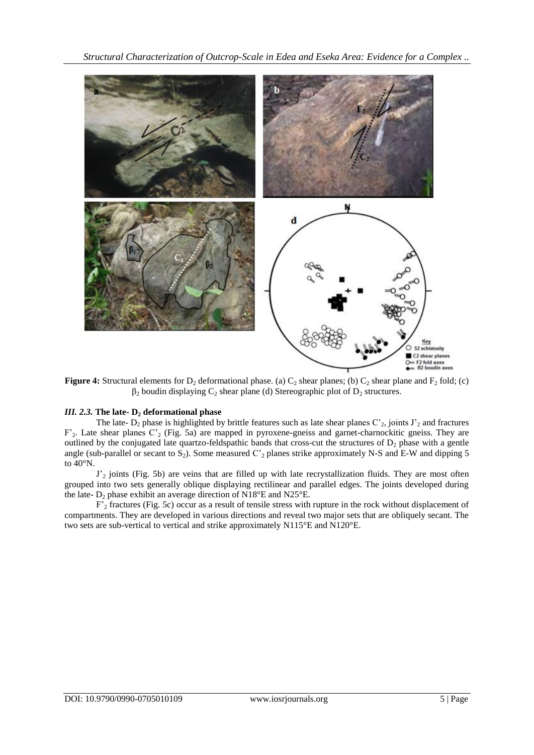*Structural Characterization of Outcrop-Scale in Edea and Eseka Area: Evidence for a Complex ..*



**Figure 4:** Structural elements for  $D_2$  deformational phase. (a)  $C_2$  shear planes; (b)  $C_2$  shear plane and  $F_2$  fold; (c)  $\beta_2$  boudin displaying  $C_2$  shear plane (d) Stereographic plot of  $D_2$  structures.

# *III. 2.3.* **The late- D<sup>2</sup> deformational phase**

The late-  $D_2$  phase is highlighted by brittle features such as late shear planes  $C_2$ , joints  $J_2$  and fractures F'<sub>2</sub>. Late shear planes C'<sub>2</sub> (Fig. 5a) are mapped in pyroxene-gneiss and garnet-charnockitic gneiss. They are outlined by the conjugated late quartzo-feldspathic bands that cross-cut the structures of  $D_2$  phase with a gentle angle (sub-parallel or secant to  $S_2$ ). Some measured  $C_2$  planes strike approximately N-S and E-W and dipping 5 to 40°N.

 $J'_2$  joints (Fig. 5b) are veins that are filled up with late recrystallization fluids. They are most often grouped into two sets generally oblique displaying rectilinear and parallel edges. The joints developed during the late-  $D_2$  phase exhibit an average direction of N18°E and N25°E.

F'<sup>2</sup> fractures (Fig. 5c) occur as a result of tensile stress with rupture in the rock without displacement of compartments. They are developed in various directions and reveal two major sets that are obliquely secant. The two sets are sub-vertical to vertical and strike approximately N115°E and N120°E.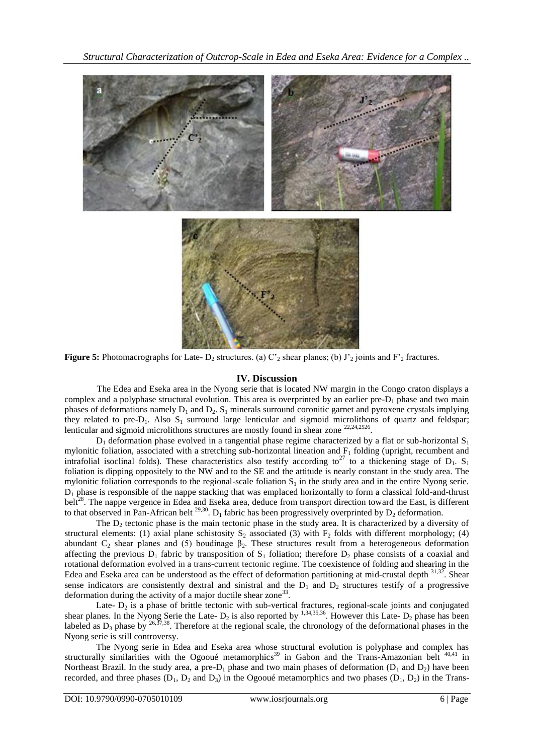*Structural Characterization of Outcrop-Scale in Edea and Eseka Area: Evidence for a Complex ..*



**Figure 5:** Photomacrographs for Late-  $D_2$  structures. (a)  $C_2$  shear planes; (b)  $J_2$  joints and  $F_2$  fractures.

#### **IV. Discussion**

The Edea and Eseka area in the Nyong serie that is located NW margin in the Congo craton displays a complex and a polyphase structural evolution. This area is overprinted by an earlier pre- $D_1$  phase and two main phases of deformations namely  $D_1$  and  $D_2$ . S<sub>1</sub> minerals surround coronitic garnet and pyroxene crystals implying they related to pre- $D_1$ . Also  $S_1$  surround large lenticular and sigmoid microlithons of quartz and feldspar; lenticular and sigmoid microlithons structures are mostly found in shear zone <sup>22,24,2526</sup>.

 $D_1$  deformation phase evolved in a tangential phase regime characterized by a flat or sub-horizontal  $S_1$ mylonitic foliation, associated with a stretching sub-horizontal lineation and  $F_1$  folding (upright, recumbent and intrafolial isoclinal folds). These characteristics also testify according to<sup>27</sup> to a thickening stage of  $D_1$ . S<sub>1</sub> foliation is dipping oppositely to the NW and to the SE and the attitude is nearly constant in the study area. The mylonitic foliation corresponds to the regional-scale foliation  $S_1$  in the study area and in the entire Nyong serie.  $D_1$  phase is responsible of the nappe stacking that was emplaced horizontally to form a classical fold-and-thrust belt<sup>28</sup>. The nappe vergence in Edea and Eseka area, deduce from transport direction toward the East, is different to that observed in Pan-African belt <sup>29,30</sup>. D<sub>1</sub> fabric has been progressively overprinted by D<sub>2</sub> deformation.

The  $D_2$  tectonic phase is the main tectonic phase in the study area. It is characterized by a diversity of structural elements: (1) axial plane schistosity  $S_2$  associated (3) with  $F_2$  folds with different morphology; (4) abundant  $C_2$  shear planes and (5) boudinage  $\beta_2$ . These structures result from a heterogeneous deformation affecting the previous  $D_1$  fabric by transposition of  $S_1$  foliation; therefore  $D_2$  phase consists of a coaxial and rotational deformation evolved in a trans-current tectonic regime. The coexistence of folding and shearing in the Edea and Eseka area can be understood as the effect of deformation partitioning at mid-crustal depth  $31,32$ . Shear sense indicators are consistently dextral and sinistral and the  $D_1$  and  $D_2$  structures testify of a progressive deformation during the activity of a major ductile shear zone<sup>33</sup>.

Late-  $D_2$  is a phase of brittle tectonic with sub-vertical fractures, regional-scale joints and conjugated shear planes. In the Nyong Serie the Late-  $D_2$  is also reported by <sup>1,34,35,36</sup>. However this Late-  $D_2$  phase has been labeled as  $D_3$  phase by <sup>26,37,38</sup>. Therefore at the regional scale, the chronology of the deformational phases in the Nyong serie is still controversy.

The Nyong serie in Edea and Eseka area whose structural evolution is polyphase and complex has structurally similarities with the Ogooué metamorphics<sup>39</sup> in Gabon and the Trans-Amazonian belt <sup>40,41</sup> in Northeast Brazil. In the study area, a pre- $D_1$  phase and two main phases of deformation ( $D_1$  and  $D_2$ ) have been recorded, and three phases  $(D_1, D_2, and D_3)$  in the Ogooué metamorphics and two phases  $(D_1, D_2)$  in the Trans-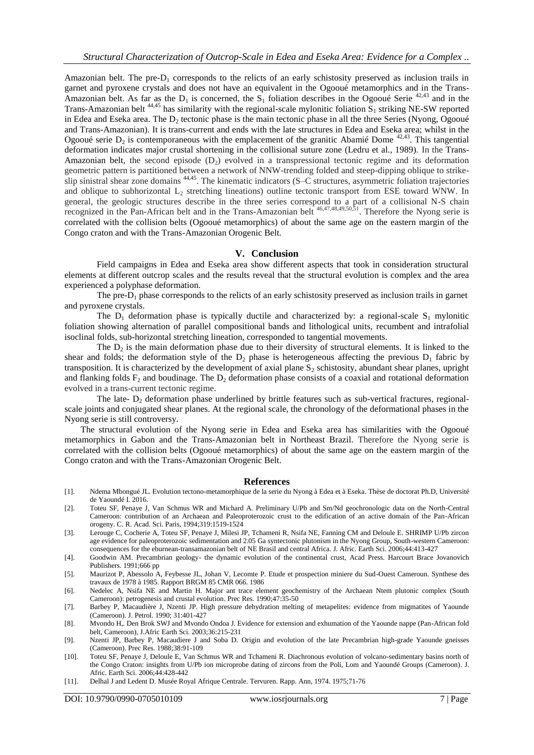Amazonian belt. The pre- $D_1$  corresponds to the relicts of an early schistosity preserved as inclusion trails in garnet and pyroxene crystals and does not have an equivalent in the Ogooué metamorphics and in the Trans-Amazonian belt. As far as the  $D_1$  is concerned, the  $S_1$  foliation describes in the Ogooué Serie <sup>42,43</sup> and in the Trans-Amazonian belt  $^{44,45}$  has similarity with the regional-scale mylonitic foliation  $S_1$  striking NE-SW reported in Edea and Eseka area. The  $D_2$  tectonic phase is the main tectonic phase in all the three Series (Nyong, Ogooué and Trans-Amazonian). It is trans-current and ends with the late structures in Edea and Eseka area; whilst in the Ogooué serie  $D_2$  is contemporaneous with the emplacement of the granitic Abamié Dome  $42.43$ . This tangential deformation indicates major crustal shortening in the collisional suture zone (Ledru et al., 1989). In the Trans-Amazonian belt, the second episode  $(D_2)$  evolved in a transpressional tectonic regime and its deformation geometric pattern is partitioned between a network of NNW-trending folded and steep-dipping oblique to strikeslip sinistral shear zone domains <sup>44,45</sup>. The kinematic indicators (S–C structures, asymmetric foliation trajectories and oblique to subhorizontal  $L_2$  stretching lineations) outline tectonic transport from ESE toward WNW. In general, the geologic structures describe in the three series correspond to a part of a collisional N-S chain recognized in the Pan-African belt and in the Trans-Amazonian belt  $46,47,48,49,50,51$ . Therefore the Nyong serie is correlated with the collision belts (Ogooué metamorphics) of about the same age on the eastern margin of the Congo craton and with the Trans-Amazonian Orogenic Belt.

### **V. Conclusion**

Field campaigns in Edea and Eseka area show different aspects that took in consideration structural elements at different outcrop scales and the results reveal that the structural evolution is complex and the area experienced a polyphase deformation.

The pre- $D_1$  phase corresponds to the relicts of an early schistosity preserved as inclusion trails in garnet and pyroxene crystals.

The  $D_1$  deformation phase is typically ductile and characterized by: a regional-scale  $S_1$  mylonitic foliation showing alternation of parallel compositional bands and lithological units, recumbent and intrafolial isoclinal folds, sub-horizontal stretching lineation, corresponded to tangential movements.

The  $D_2$  is the main deformation phase due to their diversity of structural elements. It is linked to the shear and folds; the deformation style of the  $D_2$  phase is heterogeneous affecting the previous  $D_1$  fabric by transposition. It is characterized by the development of axial plane  $S_2$  schistosity, abundant shear planes, upright and flanking folds  $F_2$  and boudinage. The  $D_2$  deformation phase consists of a coaxial and rotational deformation evolved in a trans-current tectonic regime.

The late-  $D<sub>2</sub>$  deformation phase underlined by brittle features such as sub-vertical fractures, regionalscale joints and conjugated shear planes. At the regional scale, the chronology of the deformational phases in the Nyong serie is still controversy.

The structural evolution of the Nyong serie in Edea and Eseka area has similarities with the Ogooué metamorphics in Gabon and the Trans-Amazonian belt in Northeast Brazil. Therefore the Nyong serie is correlated with the collision belts (Ogooué metamorphics) of about the same age on the eastern margin of the Congo craton and with the Trans-Amazonian Orogenic Belt.

#### **References**

- [1]. Ndema Mbongué JL. Evolution tectono-metamorphique de la serie du Nyong à Edea et à Eseka. Thèse de doctorat Ph.D, Université de Yaoundé I. 2016.
- [2]. Toteu SF, Penaye J, Van Schmus WR and Michard A. Preliminary U/Pb and Sm/Nd geochronologic data on the North-Central Cameroon: contribution of an Archaean and Paleoproterozoic crust to the edification of an active domain of the Pan-African orogeny. C. R. Acad. Sci. Paris, 1994;319:1519-1524
- [3]. Lerouge C, Cocherie A, Toteu SF, Penaye J, Milesi JP, Tchameni R, Nsifa NE, Fanning CM and Deloule E. SHRIMP U/Pb zircon age evidence for paleoproterozoic sedimentation and 2.05 Ga syntectonic plutonism in the Nyong Group, South-western Cameroon: consequences for the eburnean-transamazonian belt of NE Brasil and central Africa. J. Afric. Earth Sci. 2006;44:413-427
- [4]. Goodwin AM. Precambrian geology- the dynamic evolution of the continental crust, Acad Press. Harcourt Brace Jovanovich Publishers. 1991;666 pp
- [5]. Maurizot P, Abessolo A, Feybesse JL, Johan V, Lecomte P. Etude et prospection miniere du Sud-Ouest Cameroun. Synthese des travaux de 1978 à 1985. Rapport BRGM 85 CMR 066. 1986
- [6]. Nedelec A, Nsifa NE and Martin H. Major ant trace element geochemistry of the Archaean Ntem plutonic complex (South Cameroon): petrogenesis and crustal evolution. Prec Res. 1990;47:35-50
- [7]. Barbey P, Macaudière J, Nzenti JP. High pressure dehydration melting of metapelites: evidence from migmatites of Yaounde (Cameroon). J. Petrol. 1990; 31:401-427
- [8]. Mvondo H,. Den Brok SWJ and Mvondo Ondoa J. Evidence for extension and exhumation of the Yaounde nappe (Pan-African fold belt, Cameroon), J.Afric Earth Sci. 2003;36:215-231
- [9]. Nzenti JP, Barbey P, Macaudiere J and Soba D. Origin and evolution of the late Precambrian high-grade Yaounde gneisses (Cameroon). Prec Res. 1988;38:91-109
- [10]. Toteu SF, Penaye J, Deloule E, Van Schmus WR and Tchameni R. Diachronous evolution of volcano-sedimentary basins north of the Congo Craton: insights from U/Pb ion microprobe dating of zircons from the Poli, Lom and Yaoundé Groups (Cameroon). J. Afric. Earth Sci. 2006;44:428-442
- [11]. Delhal J and Ledent D. Musée Royal Afrique Centrale. Tervuren. Rapp. Ann, 1974. 1975;71-76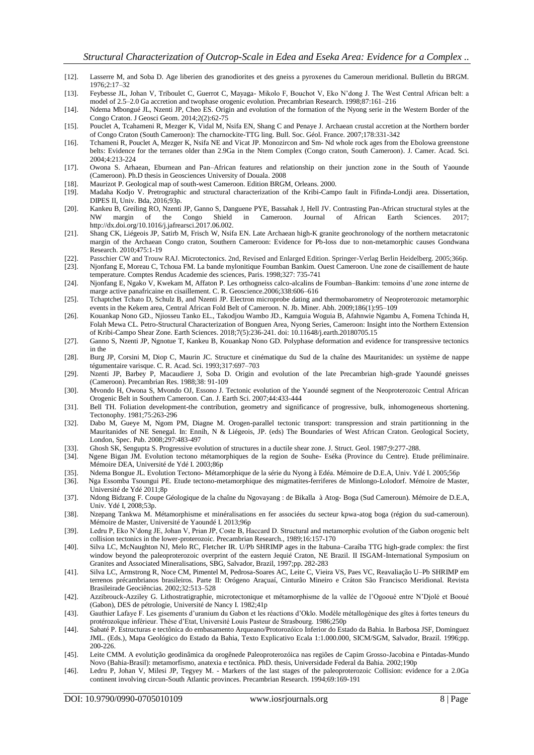- [12]. Lasserre M, and Soba D. Age liberien des granodiorites et des gneiss a pyroxenes du Cameroun meridional. Bulletin du BRGM. 1976;2:17–32
- [13]. Feybesse JL, Johan V, Triboulet C, Guerrot C, Mayaga- Mikolo F, Bouchot V, Eko N'dong J. The West Central African belt: a model of 2.5–2.0 Ga accretion and twophase orogenic evolution. Precambrian Research. 1998;87:161–216
- [14]. Ndema Mbongué JL, Nzenti JP, Cheo ES. Origin and evolution of the formation of the Nyong serie in the Western Border of the Congo Craton. J Geosci Geom. 2014;2(2):62-75
- [15]. Pouclet A, Tcahameni R, Mezger K, Vidal M, Nsifa EN, Shang C and Penaye J. Archaean crustal accretion at the Northern border of Congo Craton (South Cameroon): The charnockite-TTG ling. Bull. Soc. Géol. France. 2007;178:331-342
- [16]. Tchameni R, Pouclet A, Mezger K, Nsifa NE and Vicat JP. Monozircon and Sm- Nd whole rock ages from the Ebolowa greenstone belts: Evidence for the terranes older than 2.9Ga in the Ntem Complex (Congo craton, South Cameroon). J. Camer. Acad. Sci. 2004;4:213-224
- [17]. Owona S. Arhaean, Eburnean and Pan–African features and relationship on their junction zone in the South of Yaounde (Cameroon). Ph.D thesis in Geosciences University of Douala. 2008
- [18]. Maurizot P. Geological map of south-west Cameroon. Edition BRGM, Orleans. 2000.
- [19]. Madaha Kodjo V. Pretrographic and structural characterization of the Kribi-Campo fault in Fifinda-Londji area. Dissertation, DIPES II, Univ. Bda, 2016;93p.
- [20]. Kankeu B, Greiling RO, Nzenti JP, Ganno S, Danguene PYE, Bassahak J, Hell JV. Contrasting Pan-African structural styles at the NW margin of the Congo Shield in Cameroon. Journal of African Earth Sciences. http://dx.doi.org/10.1016/j.jafrearsci.2017.06.002.
- [21]. Shang CK, Liégeois JP, Satirb M, Frisch W, Nsifa EN. Late Archaean high-K granite geochronology of the northern metacratonic margin of the Archaean Congo craton, Southern Cameroon: Evidence for Pb-loss due to non-metamorphic causes Gondwana Research. 2010;475:1-19
- [22]. Passchier CW and Trouw RAJ. Microtectonics. 2nd, Revised and Enlarged Edition. Springer-Verlag Berlin Heidelberg. 2005;366p.
- [23]. Njonfang E, Moreau C, Tchoua FM. La bande mylonitique Foumban Bankim. Ouest Cameroon. Une zone de cisaillement de haute temperature. Comptes Rendus Academie des sciences, Paris. 1998;327: 735-741
- [24]. Njonfang E, Ngako V, Kwekam M, Affaton P. Les orthogneiss calco-alcalins de Foumban–Bankim: temoins d'une zone interne de marge active panafricaine en cisaillement. C. R. Geoscience.2006;338:606–616
- [25]. Tchaptchet Tchato D, Schulz B, and Nzenti JP. Electron microprobe dating and thermobarometry of Neoproterozoic metamorphic events in the Kekem area, Central African Fold Belt of Cameroon. N. Jb. Miner. Abh. 2009;186(1):95–109
- [26]. Kouankap Nono GD., Njiosseu Tanko EL., Takodjou Wambo JD., Kamguia Woguia B, Afahnwie Ngambu A, Fomena Tchinda H, Folah Mewa CL. Petro-Structural Characterization of Bonguen Area, Nyong Series, Cameroon: Insight into the Northern Extension of Kribi-Campo Shear Zone. Earth Sciences. 2018;7(5):236-241. doi: 10.11648/j.earth.20180705.15
- [27]. Ganno S, Nzenti JP, Ngnotue T, Kankeu B, Kouankap Nono GD. Polyphase deformation and evidence for transpressive tectonics in the
- [28]. Burg JP, Corsini M, Diop C, Maurin JC. Structure et cinématique du Sud de la chaîne des Mauritanides: un système de nappe tégumentaire varisque. C. R. Acad. Sci. 1993;317:697–703
- [29]. Nzenti JP, Barbey P, Macaudiere J, Soba D. Origin and evolution of the late Precambrian high-grade Yaoundé gneisses (Cameroon). Precambrian Res. 1988;38: 91-109
- [30]. Mvondo H, Owona S, Mvondo OJ, Essono J. Tectonic evolution of the Yaoundé segment of the Neoproterozoic Central African Orogenic Belt in Southern Cameroon. Can. J. Earth Sci. 2007;44:433-444
- [31]. Bell TH. Foliation development-the contribution, geometry and significance of progressive, bulk, inhomogeneous shortening. Tectonophy. 1981;75:263-296
- [32]. Dabo M, Gueye M, Ngom PM, Diagne M. Orogen-parallel tectonic transport: transpression and strain partitionning in the Mauritanides of NE Senegal. In: Ennih, N & Liégeois, JP. (eds) The Boundaries of West African Craton. Geological Society, London, Spec. Pub. 2008;297:483-497
- [33]. Ghosh SK, Sengupta S. Progressive evolution of structures in a ductile shear zone. J. Struct. Geol. 1987;9:277-288. [34]. Ngene Bigan JM. Evolution tectono métamorphiques de la region de Souhe- Eséka (Province du Cen
- Ngene Bigan JM. Evolution tectono métamorphiques de la region de Souhe- Eséka (Province du Centre). Etude préliminaire. Mémoire DEA, Université de Ydé I. 2003;86p
- [35]. Ndema Bongue JL. Evolution Tectono- Métamorphique de la série du Nyong à Edéa. Mémoire de D.E.A, Univ. Ydé I. 2005;56p
- [36]. Nga Essomba Tsoungui PE. Etude tectono-metamorphique des migmatites-ferriferes de Minlongo-Lolodorf. Mémoire de Master, Université de Ydé 2011;8p
- [37]. Ndong Bidzang F. Coupe Géologique de la chaîne du Ngovayang : de Bikalla à Atog- Boga (Sud Cameroun). Mémoire de D.E.A, Univ. Ydé I, 2008;53p.
- [38]. Nzepang Tankwa M. Métamorphisme et minéralisations en fer associées du secteur kpwa-atog boga (région du sud-cameroun). Mémoire de Master, Université de Yaoundé I. 2013;96p
- [39]. Ledru P, Eko N'dong JE, Johan V, Prian JP, Coste B, Haccard D. Structural and metamorphic evolution of the Gabon orogenic belt collision tectonics in the lower-proterozoic. Precambrian Research., 1989;16:157-170
- [40]. Silva LC, McNaughton NJ, Melo RC, Fletcher IR. U/Pb SHRIMP ages in the Itabuna–Caraíba TTG high-grade complex: the first window beyond the paleoproterozoic overprint of the eastern Jequié Craton, NE Brazil. II ISGAM-International Symposium on Granites and Associated Mineralisations, SBG, Salvador, Brazil, 1997;pp. 282-283
- [41]. Silva LC, Armstrong R, Noce CM, Pimentel M, Pedrosa-Soares AC, Leite C, Vieira VS, Paes VC, Reavaliação U–Pb SHRIMP em terrenos précambrianos brasileiros. Parte II: Orógeno Araçuaí, Cinturão Mineiro e Cráton São Francisco Meridional. Revista Brasileirade Geociências. 2002;32:513–528
- [42]. Azzibrouck-Azziley G. Lithostratigraphie, microtectonique et métamorphisme de la vallée de l'Ogooué entre N'Djolé et Booué (Gabon), DES de pétrologie, Université de Nancy I. 1982;41p
- [43]. Gauthier Lafaye F. Les gisements d'uranium du Gabon et les réactions d'Oklo. Modèle métallogénique des gîtes à fortes teneurs du protérozoïque inférieur. Thèse d'Etat, Université Louis Pasteur de Strasbourg. 1986;250p
- [44]. Sabaté P. Estructuras e tectônica do embasamento Arqueano/Protorozóico Inferior do Estado da Bahia. In Barbosa JSF, Dominguez JML. (Eds.), Mapa Geológico do Estado da Bahia, Texto Explicativo Ecala 1:1.000.000, SICM/SGM, Salvador, Brazil. 1996;pp. 200-226.
- [45]. Leite CMM. A evolutição geodinâmica da orogênede Paleoproterozóica nas regiões de Capim Grosso-Jacobina e Pintadas-Mundo Novo (Bahia-Brasil): metamorfismo, anatexia e tectônica. PhD. thesis, Universidade Federal da Bahia. 2002;190p
- [46]. Ledru P, Johan V, Milesi JP, Tegyey M. Markers of the last stages of the paleoproterozoic Collision: evidence for a 2.0Ga continent involving circun-South Atlantic provinces. Precambrian Research. 1994;69:169-191